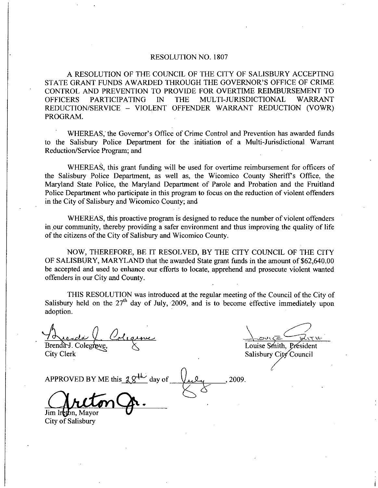## RESOLUTION NO. 1807

A RESOLUTION OF THE COUNCIL OF THE CITY OF SALISBURY ACCEPTING RESOLUTION NO. 1807<br>A RESOLUTION OF THE COUNCIL OF THE CITY OF SALISBURY ACCEPTING<br>STATE GRANT FUNDS AWARDED THROUGH THE GOVERNOR'S OFFICE OF CRIME<br>CONTROL AND PREVENTION TO PROVIDE FOR OVERTIME REIMBURSEMENT TO<br>OFFICERS P CONTROL AND PREVENTION TO PROVIDE FOR OVERTIME REIMBURSEMENT TO STATE GRANT FUNDS AWARDED THROUGH THE GOVERNOR'S OFFICE OF CRIME<br>CONTROL AND PREVENTION TO PROVIDE FOR OVERTIME REIMBURSEMENT TO<br>OFFICERS PARTICIPATING IN THE MULTI-JURISDICTIONAL WARRANT<br>REDUCTION/SERVICE ... VIOLENT OFFE OFFICERS PARTICIPATING IN THE MULTI-JURISDICTIONAL WARRANT<br>REDUCTION/SERVICE – VIOLENT OFFENDER WARRANT REDUCTION (VOWR) PROGRAM ROL AND PREVENTION TO PROVIDE FOR OVERTIME REIMBURSEMENT TO<br>
ERS PARTICIPATING IN THE MULTI-JURISDICTIONAL WARRANT<br>
CTION/SERVICE – VIOLENT OFFENDER WARRANT REDUCTION (VOWR)<br>
RAM.<br>
WHEREAS, the Governor's Office of Crime C

WHEREAS, the Governor's Office of Crime Control and Prevention has awarded funds<br>to the Salisbury Police Department for the initiation of a Multi-Jurisdictional Warrant Reduction/Service Program; and

WHEREAS, this grant funding will be used for overtime reimbursement for officers of the Salisbury Police Department, as well as, the Wicomico County Sheriff's Office, the Maryland State Police, the Maryland Department of Parole and Probation and the Fruitland Police Department who participate in this program to focus on the reduction of violent offenders in the City of Salisbury and Wicomico County; and

WHEREAS, this proactive program is designed to reduce the number of violent offenders in our community thereby providing a safer environment and thus improving the quality of life of the citizens of the City of Salisbury and Wicomico County.

NOW, THEREFORE, BE IT RESOLVED, BY THE CITY COUNCIL OF THE CITY OF SALISBURY, MARYLAND that the awarded State grant funds in the amount of \$62,640.00 be accepted and used to enhance our efforts to locate, apprehend and prosecute violent wanted offenders in our City and County.

THIS RESOLUTION was introduced at the regular meeting of the Council of the City of Salisbury held on the  $27<sup>th</sup>$  day of July, 2009, and is to become effective immediately upon adoption

Brenda J. Colegrov

Louise Smith, Président

Salisbury City Council

2009

City Clerk

APPROVED BY ME this 29  $\frac{1}{2}$ day of

Jim Ireton, Mayor City of Salisbury